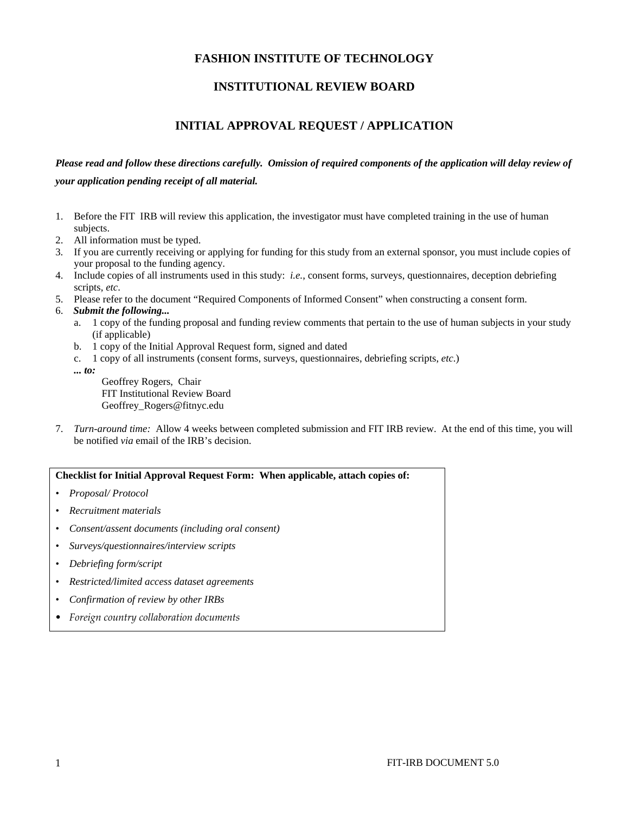### **FASHION INSTITUTE OF TECHNOLOGY**

## **INSTITUTIONAL REVIEW BOARD**

# **INITIAL APPROVAL REQUEST / APPLICATION**

# *Please read and follow these directions carefully. Omission of required components of the application will delay review of your application pending receipt of all material.*

- 1. Before the FIT IRB will review this application, the investigator must have completed training in the use of human subjects.
- 2. All information must be typed.
- 3. If you are currently receiving or applying for funding for this study from an external sponsor, you must include copies of your proposal to the funding agency.
- 4. Include copies of all instruments used in this study: *i.e.*, consent forms, surveys, questionnaires, deception debriefing scripts, *etc*.
- 5. Please refer to the document "Required Components of Informed Consent" when constructing a consent form.
- 6. *Submit the following...*
	- a. 1 copy of the funding proposal and funding review comments that pertain to the use of human subjects in your study (if applicable)
	- b. 1 copy of the Initial Approval Request form, signed and dated
	- c. 1 copy of all instruments (consent forms, surveys, questionnaires, debriefing scripts, *etc*.)
	- *... to:*

Geoffrey Rogers, Chair FIT Institutional Review Board Geoffrey\_Rogers@fitnyc.edu

7. *Turn-around time:* Allow 4 weeks between completed submission and FIT IRB review. At the end of this time, you will be notified *via* email of the IRB's decision.

#### **Checklist for Initial Approval Request Form: When applicable, attach copies of:**

- *Proposal/ Protocol*
- *Recruitment materials*
- *Consent/assent documents (including oral consent)*
- *Surveys/questionnaires/interview scripts*
- *Debriefing form/script*
- *Restricted/limited access dataset agreements*
- *Confirmation of review by other IRBs*
- *Foreign country collaboration documents*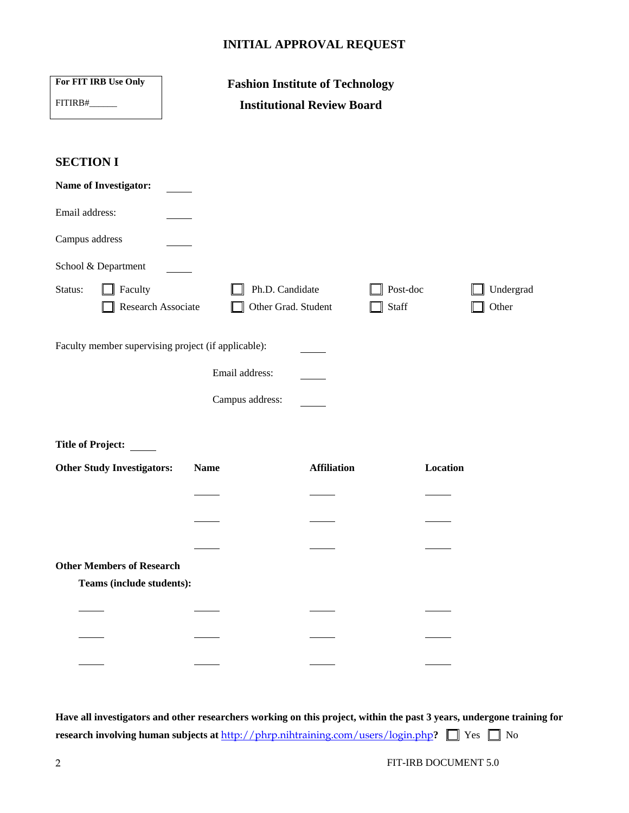## **INITIAL APPROVAL REQUEST**

| For FIT IRB Use Only                                | <b>Fashion Institute of Technology</b> |                    |                    |  |  |  |  |
|-----------------------------------------------------|----------------------------------------|--------------------|--------------------|--|--|--|--|
| FITIRB#                                             | <b>Institutional Review Board</b>      |                    |                    |  |  |  |  |
|                                                     |                                        |                    |                    |  |  |  |  |
|                                                     |                                        |                    |                    |  |  |  |  |
| <b>SECTION I</b>                                    |                                        |                    |                    |  |  |  |  |
| <b>Name of Investigator:</b>                        |                                        |                    |                    |  |  |  |  |
| Email address:                                      |                                        |                    |                    |  |  |  |  |
| Campus address                                      |                                        |                    |                    |  |  |  |  |
| School & Department                                 |                                        |                    |                    |  |  |  |  |
| Status:<br>Faculty<br>Research Associate            | Ph.D. Candidate<br>Other Grad. Student | Post-doc<br>Staff  | Undergrad<br>Other |  |  |  |  |
| Faculty member supervising project (if applicable): |                                        |                    |                    |  |  |  |  |
|                                                     | Email address:                         |                    |                    |  |  |  |  |
|                                                     | Campus address:                        |                    |                    |  |  |  |  |
|                                                     |                                        |                    |                    |  |  |  |  |
| <b>Title of Project:</b>                            |                                        |                    |                    |  |  |  |  |
| <b>Other Study Investigators:</b>                   | <b>Name</b>                            | <b>Affiliation</b> | Location           |  |  |  |  |
|                                                     |                                        |                    |                    |  |  |  |  |
|                                                     |                                        |                    |                    |  |  |  |  |
|                                                     |                                        |                    |                    |  |  |  |  |
| <b>Other Members of Research</b>                    |                                        |                    |                    |  |  |  |  |
| Teams (include students):                           |                                        |                    |                    |  |  |  |  |
|                                                     |                                        |                    |                    |  |  |  |  |
|                                                     |                                        |                    |                    |  |  |  |  |
|                                                     |                                        |                    |                    |  |  |  |  |
|                                                     |                                        |                    |                    |  |  |  |  |
|                                                     |                                        |                    |                    |  |  |  |  |

**Have all investigators and other researchers working on this project, within the past 3 years, undergone training for research involving human subjects at http://phrp.nihtraining.com/users/login.php?**  $\Box$  Yes  $\Box$  No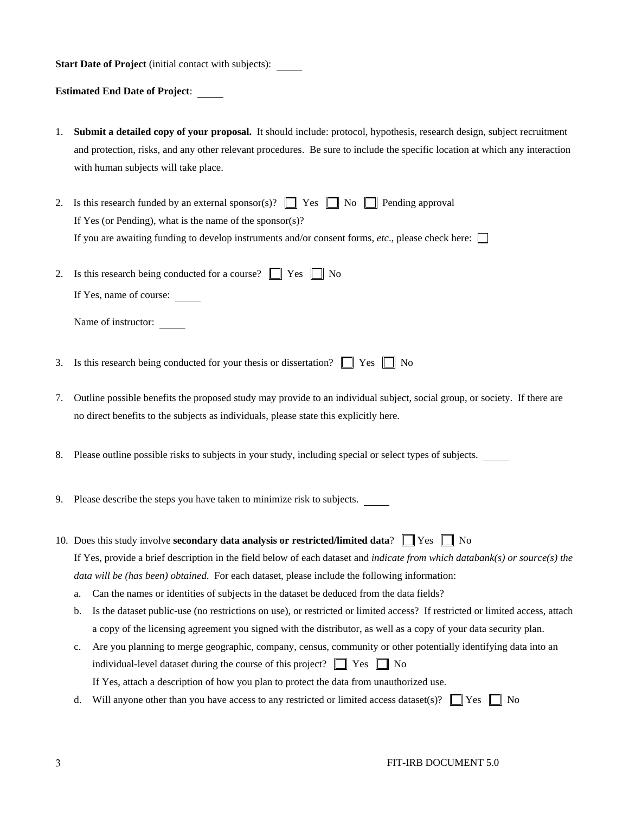**Start Date of Project** (initial contact with subjects):

**Estimated End Date of Project**:

- 1. **Submit a detailed copy of your proposal.** It should include: protocol, hypothesis, research design, subject recruitment and protection, risks, and any other relevant procedures. Be sure to include the specific location at which any interaction with human subjects will take place.
- 2. Is this research funded by an external sponsor(s)?  $\Box$  Yes  $\Box$  No  $\Box$  Pending approval If Yes (or Pending), what is the name of the sponsor(s)? If you are awaiting funding to develop instruments and/or consent forms,  $etc.$ , please check here:
- 2. Is this research being conducted for a course?  $\Box$  Yes  $\Box$  No If Yes, name of course:

Name of instructor:

- 3. Is this research being conducted for your thesis or dissertation?  $\Box$  Yes  $\Box$  No
- 7. Outline possible benefits the proposed study may provide to an individual subject, social group, or society. If there are no direct benefits to the subjects as individuals, please state this explicitly here.
- 8. Please outline possible risks to subjects in your study, including special or select types of subjects.
- 9. Please describe the steps you have taken to minimize risk to subjects.
- 10. Does this study involve **secondary data analysis or restricted/limited data**?  $\Box$  Yes  $\Box$  No If Yes, provide a brief description in the field below of each dataset and *indicate from which databank(s) or source(s) the data will be (has been) obtained*. For each dataset, please include the following information:
	- a. Can the names or identities of subjects in the dataset be deduced from the data fields?
	- b. Is the dataset public-use (no restrictions on use), or restricted or limited access? If restricted or limited access, attach a copy of the licensing agreement you signed with the distributor, as well as a copy of your data security plan.
	- c. Are you planning to merge geographic, company, census, community or other potentially identifying data into an individual-level dataset during the course of this project?  $\Box$  Yes  $\Box$  No If Yes, attach a description of how you plan to protect the data from unauthorized use.
	- d. Will anyone other than you have access to any restricted or limited access dataset(s)?  $\Box$  Yes  $\Box$  No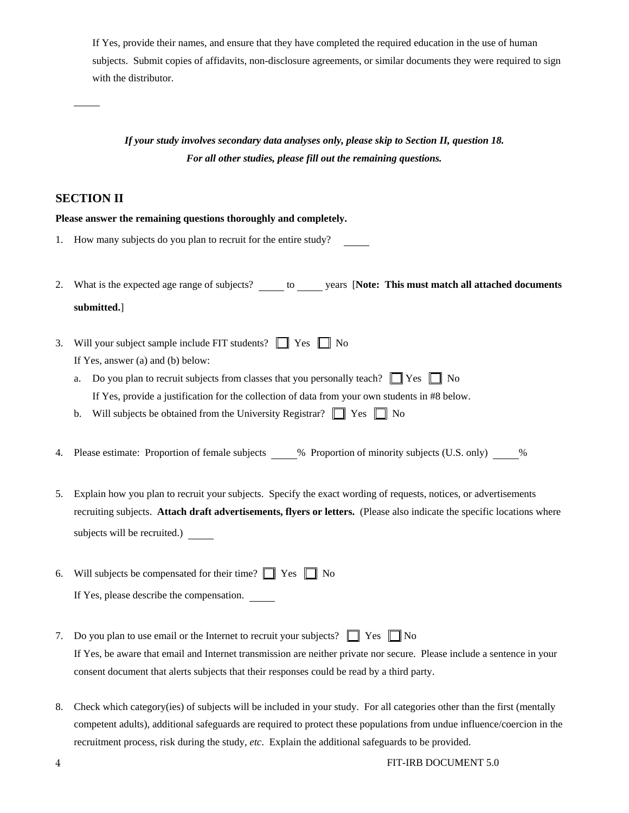If Yes, provide their names, and ensure that they have completed the required education in the use of human subjects. Submit copies of affidavits, non-disclosure agreements, or similar documents they were required to sign with the distributor.

# *If your study involves secondary data analyses only, please skip to Section II, question 18. For all other studies, please fill out the remaining questions.*

#### **SECTION II**

#### **Please answer the remaining questions thoroughly and completely.**

- 1. How many subjects do you plan to recruit for the entire study?
- 2. What is the expected age range of subjects? \_\_\_\_\_\_ to \_\_\_\_\_\_ years [Note: This must match all attached documents **submitted.**]
- 3. Will your subject sample include FIT students?  $\Box$  Yes  $\Box$  No If Yes, answer (a) and (b) below:
	- a. Do you plan to recruit subjects from classes that you personally teach?  $\Box$  Yes  $\Box$  No If Yes, provide a justification for the collection of data from your own students in #8 below.
	- b. Will subjects be obtained from the University Registrar?  $\Box$  Yes  $\Box$  No
- 4. Please estimate: Proportion of female subjects % Proportion of minority subjects (U.S. only) %
- 5. Explain how you plan to recruit your subjects. Specify the exact wording of requests, notices, or advertisements recruiting subjects. **Attach draft advertisements, flyers or letters.** (Please also indicate the specific locations where subjects will be recruited.)
- 6. Will subjects be compensated for their time?  $\Box$  Yes  $\Box$  No If Yes, please describe the compensation.
- 7. Do you plan to use email or the Internet to recruit your subjects?  $\Box$  Yes  $\Box$  No If Yes, be aware that email and Internet transmission are neither private nor secure. Please include a sentence in your consent document that alerts subjects that their responses could be read by a third party.
- 8. Check which category(ies) of subjects will be included in your study. For all categories other than the first (mentally competent adults), additional safeguards are required to protect these populations from undue influence/coercion in the recruitment process, risk during the study, *etc*. Explain the additional safeguards to be provided.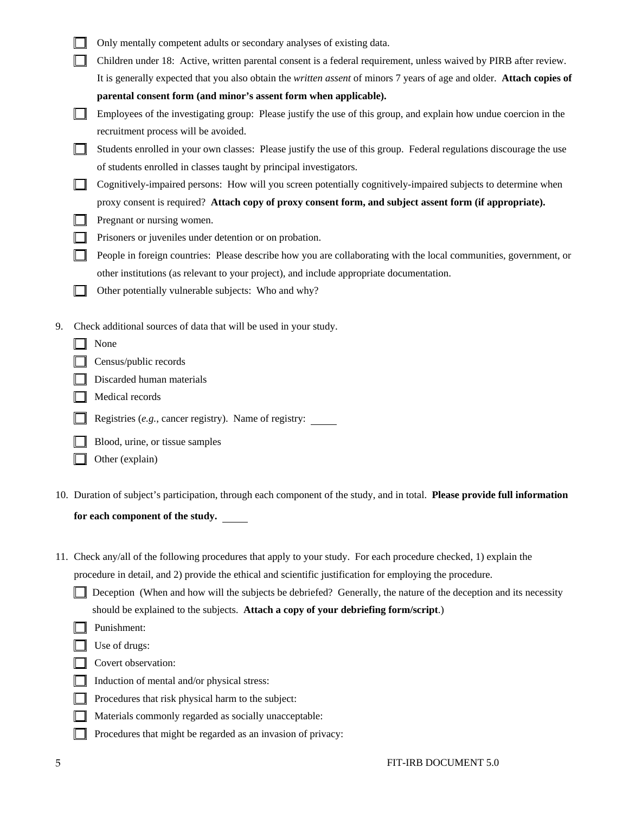|    | Only mentally competent adults or secondary analyses of existing data.                                                |
|----|-----------------------------------------------------------------------------------------------------------------------|
|    | Children under 18: Active, written parental consent is a federal requirement, unless waived by PIRB after review.     |
|    | It is generally expected that you also obtain the written assent of minors 7 years of age and older. Attach copies of |
|    | parental consent form (and minor's assent form when applicable).                                                      |
|    | Employees of the investigating group: Please justify the use of this group, and explain how undue coercion in the     |
|    | recruitment process will be avoided.                                                                                  |
|    | Students enrolled in your own classes: Please justify the use of this group. Federal regulations discourage the use   |
|    | of students enrolled in classes taught by principal investigators.                                                    |
|    | Cognitively-impaired persons: How will you screen potentially cognitively-impaired subjects to determine when         |
|    | proxy consent is required? Attach copy of proxy consent form, and subject assent form (if appropriate).               |
|    | Pregnant or nursing women.                                                                                            |
|    | Prisoners or juveniles under detention or on probation.                                                               |
|    | People in foreign countries: Please describe how you are collaborating with the local communities, government, or     |
|    | other institutions (as relevant to your project), and include appropriate documentation.                              |
|    | Other potentially vulnerable subjects: Who and why?                                                                   |
|    |                                                                                                                       |
| 9. | Check additional sources of data that will be used in your study.                                                     |
|    | None                                                                                                                  |
|    | Census/public records                                                                                                 |
|    | Discarded human materials                                                                                             |
|    | Medical records                                                                                                       |
|    | Registries (e.g., cancer registry). Name of registry:                                                                 |
|    |                                                                                                                       |

**Blood, urine, or tissue samples** 

- $\Box$  Other (explain)
- 10. Duration of subject's participation, through each component of the study, and in total. **Please provide full information**

**for each component of the study.** 

11. Check any/all of the following procedures that apply to your study. For each procedure checked, 1) explain the

procedure in detail, and 2) provide the ethical and scientific justification for employing the procedure.

- Deception (When and how will the subjects be debriefed? Generally, the nature of the deception and its necessity should be explained to the subjects. **Attach a copy of your debriefing form/script**.)
- **Punishment:**
- $\Box$  Use of drugs:
- Covert observation:
- $\Box$  Induction of mental and/or physical stress:
- $\Box$  Procedures that risk physical harm to the subject:
- Materials commonly regarded as socially unacceptable:
- $\Box$  Procedures that might be regarded as an invasion of privacy: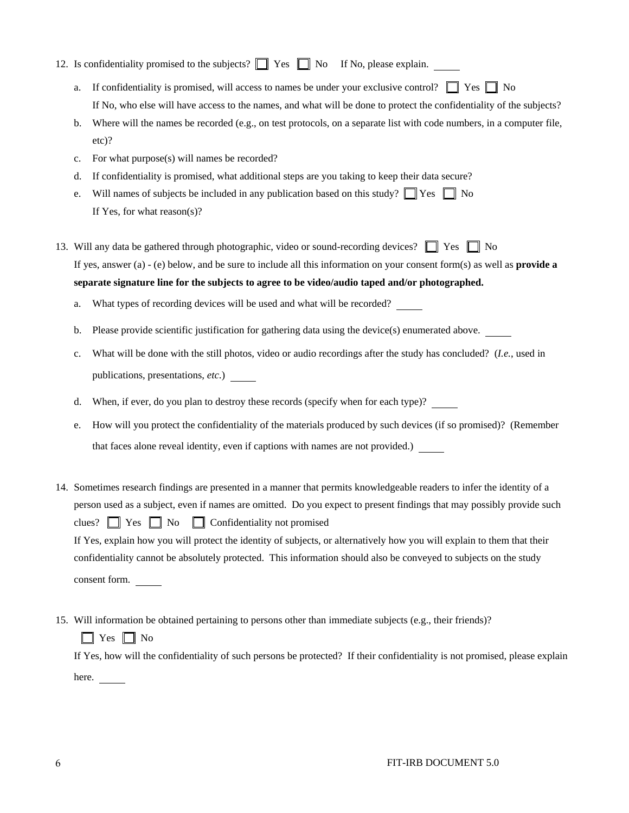|  | 12. Is confidentiality promised to the subjects? $\Box$ Yes $\Box$ No If No, please explain. |  |  |  |  |  |
|--|----------------------------------------------------------------------------------------------|--|--|--|--|--|
|--|----------------------------------------------------------------------------------------------|--|--|--|--|--|

- a. If confidentiality is promised, will access to names be under your exclusive control?  $\Box$  Yes  $\Box$  No If No, who else will have access to the names, and what will be done to protect the confidentiality of the subjects?
- b. Where will the names be recorded (e.g., on test protocols, on a separate list with code numbers, in a computer file, etc)?
- c. For what purpose(s) will names be recorded?
- d. If confidentiality is promised, what additional steps are you taking to keep their data secure?
- e. Will names of subjects be included in any publication based on this study?  $\Box$  Yes  $\Box$  No If Yes, for what reason(s)?
- 13. Will any data be gathered through photographic, video or sound-recording devices?  $\Box$  Yes  $\Box$  No If yes, answer (a) - (e) below, and be sure to include all this information on your consent form(s) as well as **provide a separate signature line for the subjects to agree to be video/audio taped and/or photographed.**

a. What types of recording devices will be used and what will be recorded?

- b. Please provide scientific justification for gathering data using the device(s) enumerated above.
- c. What will be done with the still photos, video or audio recordings after the study has concluded? (*I.e.*, used in publications, presentations, *etc*.)
- d. When, if ever, do you plan to destroy these records (specify when for each type)?
- e. How will you protect the confidentiality of the materials produced by such devices (if so promised)? (Remember that faces alone reveal identity, even if captions with names are not provided.)
- 14. Sometimes research findings are presented in a manner that permits knowledgeable readers to infer the identity of a person used as a subject, even if names are omitted. Do you expect to present findings that may possibly provide such clues?  $\Box$  Yes  $\Box$  No  $\Box$  Confidentiality not promised If Yes, explain how you will protect the identity of subjects, or alternatively how you will explain to them that their confidentiality cannot be absolutely protected. This information should also be conveyed to subjects on the study consent form.
- 15. Will information be obtained pertaining to persons other than immediate subjects (e.g., their friends)?  $\Box$  Yes  $\Box$  No

 If Yes, how will the confidentiality of such persons be protected? If their confidentiality is not promised, please explain here.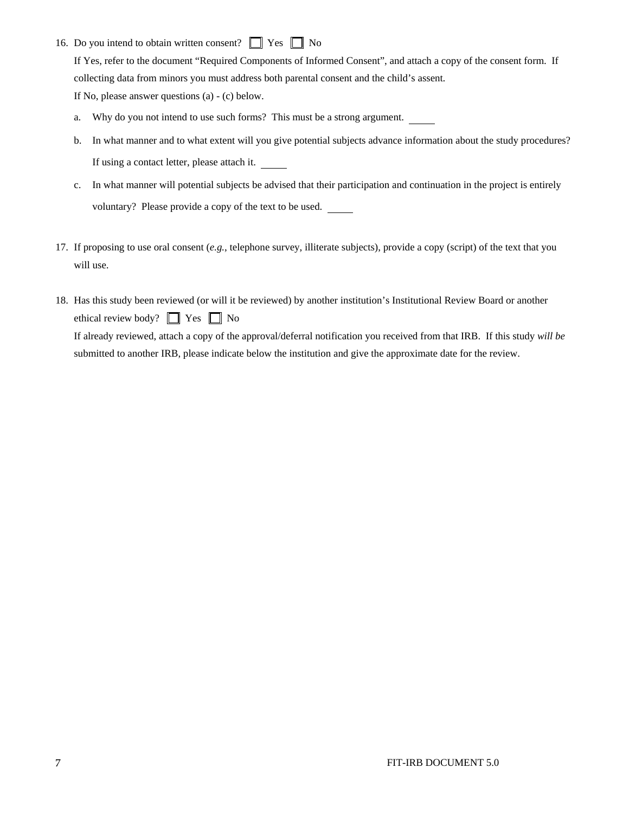16. Do you intend to obtain written consent?  $\Box$  Yes  $\Box$  No

 If Yes, refer to the document "Required Components of Informed Consent", and attach a copy of the consent form. If collecting data from minors you must address both parental consent and the child's assent. If No, please answer questions (a) - (c) below.

- a. Why do you not intend to use such forms? This must be a strong argument.
- b. In what manner and to what extent will you give potential subjects advance information about the study procedures? If using a contact letter, please attach it.
- c. In what manner will potential subjects be advised that their participation and continuation in the project is entirely voluntary? Please provide a copy of the text to be used.
- 17. If proposing to use oral consent (*e.g.*, telephone survey, illiterate subjects), provide a copy (script) of the text that you will use.
- 18. Has this study been reviewed (or will it be reviewed) by another institution's Institutional Review Board or another ethical review body?  $\Box$  Yes  $\Box$  No If already reviewed, attach a copy of the approval/deferral notification you received from that IRB. If this study *will be* submitted to another IRB, please indicate below the institution and give the approximate date for the review.